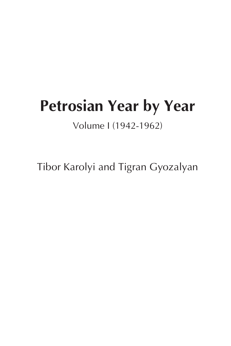# **Petrosian Year by Year**

Volume I (1942-1962)

Tibor Karolyi and Tigran Gyozalyan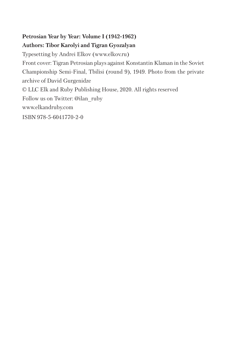# **Petrosian Year by Year: Volume I (1942-1962) Authors: Tibor Karolyi and Tigran Gyozalyan**

Typesetting by Andrei Elkov (www.elkov.ru) Front cover: Tigran Petrosian plays against Konstantin Klaman in the Soviet Championship Semi-Final, Tbilisi (round 9), 1949. Photo from the private archive of David Gurgenidze © LLC Elk and Ruby Publishing House, 2020. All rights reserved Follow us on Twitter: @ilan\_ruby www.elkandruby.com ISBN 978-5-6041770-2-0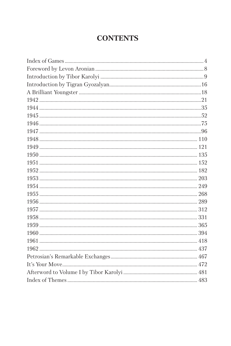# **CONTENTS**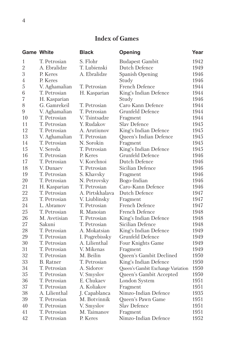# **Index of Games**

|                | <b>Game White</b> | <b>Black</b>    | Opening                           | Year |
|----------------|-------------------|-----------------|-----------------------------------|------|
| 1              | T. Petrosian      | S. Flohr        | <b>Budapest Gambit</b>            | 1942 |
| $\overline{2}$ | A. Ebralidze      | T. Lubienski    | Dutch Defence                     | 1949 |
| 3              | P. Keres          | A. Ebralidze    | Spanish Opening                   | 1946 |
| 4              | P. Keres          |                 | Study                             | 1946 |
| 5              | V. Aghamalian     | T. Petrosian    | French Defence                    | 1944 |
| 6              | T. Petrosian      | H. Kasparian    | King's Indian Defence             | 1944 |
| 7              | H. Kasparian      |                 | Study                             | 1946 |
| 8              | G. Gamrekeil      | T. Petrosian    | Caro Kann Defence                 | 1944 |
| 9              | V. Aghamalian     | T. Petrosian    | Grunfeld Defence                  | 1944 |
| 10             | T. Petrosian      | V. Tsintsadze   | Fragment                          | 1944 |
| 11             | T. Petrosian      | Y. Rudakov      | Slav Defence                      | 1945 |
| 12             | T. Petrosian      | A. Arutiunov    | King's Indian Defence             | 1945 |
| 13             | V. Aghamalian     | T. Petrosian    | Queen's Indian Defence            | 1945 |
| 14             | T. Petrosian      | N. Sorokin      | Fragment                          | 1945 |
| 15             | V. Sereda         | T. Petrosian    | King's Indian Defence             | 1945 |
| 16             | T. Petrosian      | P. Keres        | Grunfeld Defence                  | 1946 |
| 17             | T. Petrosian      | V. Korchnoi     | Dutch Defence                     | 1946 |
| 18             | V. Dunaev         | T. Petrosian    | Sicilian Defence                  | 1946 |
| 19             | T. Petrosian      | S. Khavsky      | Fragment                          | 1946 |
| 20             | T. Petrosian      | N. Petrovsky    | Bogo-Indian                       | 1946 |
| 21             | H. Kasparian      | T. Petrosian    | Caro-Kann Defence                 | 1946 |
| 22             | T. Petrosian      | A. Pirtskhalava | Dutch Defence                     | 1947 |
| 23             | T. Petrosian      | V. Liublinsky   | Fragment                          | 1947 |
| 24             | L. Abramov        | T. Petrosian    | French Defence                    | 1947 |
| 25             | T. Petrosian      | R. Manoian      | French Defence                    | 1948 |
| 26             | M. Avetisian      | T. Petrosian    | King's Indian Defence             | 1948 |
| 27             | Sakuni            | T. Petrosian    | Sicilian Defence                  | 1948 |
| 28             | T. Petrosian      | A. Mokatsian    | King's Indian Defence             | 1949 |
| 29             | T. Petrosian      | I. Pogrebissky  | Grunfeld Defence                  | 1949 |
| 30             | T. Petrosian      | A. Lilienthal   | Four Knights Game                 | 1949 |
| 31             | T. Petrosian      | V. Mikenas      | Fragment                          | 1949 |
| 32             | T. Petrosian      | M. Beilin       | Queen's Gambit Declined           | 1950 |
| 33             | <b>B.</b> Ratner  | T. Petrosian    | King's Indian Defence             | 1950 |
| 34             | T. Petrosian      | A. Sidorov      | Queen's Gambit Exchange Variation | 1950 |
| 35             | T. Petrosian      | V. Smyslov      | Queen's Gambit Accepted           | 1950 |
| 36             | T. Petrosian      | E. Chukaev      | London System                     | 1951 |
| 37             | T. Petrosian      | A. Koliakov     | Fragment                          | 1951 |
| 38             | A. Lilienthal     | J. Capablanca   | Nimzo-Indian Defence              | 1935 |
| 39             | T. Petrosian      | M. Botvinnik    | Queen's Pawn Game                 | 1951 |
| 40             | T. Petrosian      | V. Smyslov      | Slav Defence                      | 1951 |
| 41             | T. Petrosian      | M. Taimanov     | Fragment                          | 1951 |
| 42             | T. Petrosian      | P. Keres        | Nimzo-Indian Defence              | 1952 |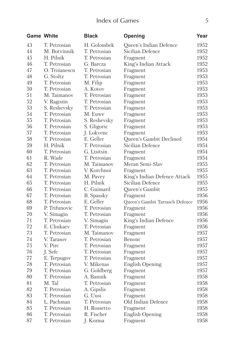# Index of Games 5

| <b>Game White</b> |               | <b>Black</b>      | Opening                         | Year |
|-------------------|---------------|-------------------|---------------------------------|------|
| 43                | T. Petrosian  | H. Golombek       | Queen's Indian Defence          | 1952 |
| 44                | M. Botvinnik  | T. Petrosian      | Sicilian Defence                | 1952 |
| 45                | H. Pilnik     | T. Petrosian      | Fragment                        | 1952 |
| 46                | T. Petrosian  | G. Barcza         | King's Indian Attack            | 1952 |
| 47                | O. Troianescu | T. Petrosian      | Fragment                        | 1953 |
| 48                | G. Stoltz     | T. Petrosian      | Fragment                        | 1953 |
| 49                | T. Petrosian  | M. Filip          | Fragment                        | 1953 |
| 50                | T. Petrosian  | A. Kotov          | Fragment                        | 1953 |
| 51                | M. Taimanov   | T. Petrosian      | Fragment                        | 1953 |
| 52                | V. Ragozin    | T. Petrosian      | Fragment                        | 1953 |
| 53                | S. Reshevsky  | T. Petrosian      | Fragment                        | 1953 |
| 54                | T. Petrosian  | M. Euwe           | Fragment                        | 1953 |
| 55                | T. Petrosian  | S. Reshevsky      | Fragment                        | 1953 |
| 56                | T. Petrosian  | S. Gligoric       | Fragment                        | 1953 |
| 57                | T. Petrosian  | J. Lokvenc        | Fragment                        | 1953 |
| 58                | T. Petrosian  | E. Geller         | Queen's Gambit Declined         | 1954 |
| 59                | H. Pilnik     | T. Petrosian      | Sicilian Defence                | 1954 |
| 60                | T. Petrosian  | G. Lisitsin       | Fragment                        | 1954 |
| 61                | R. Wade       | T. Petrosian      | Fragment                        | 1954 |
| 62                | T. Petrosian  | M. Taimanov       | Meran Semi-Slav                 | 1955 |
| 63                | T. Petrosian  | V. Korchnoi       | Fragment                        | 1955 |
| 64                | T. Petrosian  | M. Pavey          | King's Indian Defence Attack    | 1955 |
| 65                | T. Petrosian  | H. Pilnik         | Sicilian Defence                | 1955 |
| 66                | T. Petrosian  | C. Guimard        | Queen's Gambit                  | 1955 |
| 67                | T. Petrosian  | <b>B.</b> Spassky | Fragment                        | 1956 |
| 68                | T. Petrosian  | E. Geller         | Queen's Gambit Tarrasch Defence | 1956 |
| 69                | P. Trifunovic | T. Petrosian      | Fragment                        | 1956 |
| 70                | V. Simagin    | T. Petrosian      | Fragment                        | 1956 |
| 71                | T. Petrosian  | V. Simagin        | King's Indian Defence           | 1956 |
| 72                | E. Chukaev    | T. Petrosian      | Fragment                        | 1956 |
| 73                | T. Petrosian  | M. Taimanov       | Fragment                        | 1957 |
| 74                | V. Tarasov    | T. Petrosian      | Benoni                          | 1957 |
| 75                | V. Pirc       | T. Petrosian      | Fragment                        | 1957 |
| 76                | J. Sefc       | T. Petrosian      | Fragment                        | 1957 |
| 77                | E. Terpugov   | T. Petrosian      | Fragment                        | 1957 |
| 78                | T. Petrosian  | V. Mikenas        | English Opening                 | 1957 |
| 79                | T. Petrosian  | G. Goldberg       | Fragment                        | 1957 |
| 80                | T. Petrosian  | A. Bannik         | Fragment                        | 1958 |
| 81                | M. Tal        | T. Petrosian      | Fragment                        | 1958 |
| 82                | T. Petrosian  | A. Gipslis        | Fragment                        | 1958 |
| 83                | T. Petrosian  | G. Uusi           | Fragment                        | 1958 |
| 84                | L. Pachman    | T. Petrosian      | Old Indian Defence              | 1958 |
| 85                | T. Petrosian  | H. Rossetto       | Fragment                        | 1958 |
| 86                | T. Petrosian  | R. Fischer        | <b>English Opening</b>          | 1958 |
| 87                | T. Petrosian  | J. Kozma          | Fragment                        | 1958 |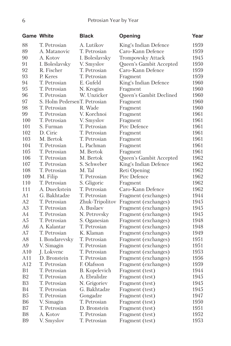|                | <b>Game White</b>            | <b>Black</b>         | Opening                 | Year |
|----------------|------------------------------|----------------------|-------------------------|------|
| 88             | T. Petrosian                 | A. Lutikov           | King's Indian Defence   | 1959 |
| 89             | A. Matanovic                 | T. Petrosian         | Caro-Kann Defence       | 1959 |
| 90             | A. Kotov                     | I. Boleslavsky       | Trompowsky Attack       | 1945 |
| 91             | I. Boleslavsky               | V. Smyslov           | Queen's Gambit Accepted | 1950 |
| 92             | R. Fischer                   | T. Petrosian         | Caro-Kann Defence       | 1959 |
| 93             | P. Keres                     | T. Petrosian         | Fragment                | 1959 |
| 94             | T. Petrosian                 | E. Gufeld            | King's Indian Defence   | 1960 |
| 95             | T. Petrosian                 | N. Krogius           | Fragment                | 1960 |
| 96             | T. Petrosian                 | W. Unzicker          | Queen's Gambit Declined | 1960 |
| 97             | S. Holm PedersenT. Petrosian |                      | Fragment                | 1960 |
| 98             | T. Petrosian                 | R. Wade              | Fragment                | 1960 |
| 99             | T. Petrosian                 | V. Korchnoi          | Fragment                | 1961 |
| 100            | T. Petrosian                 | V. Smyslov           | Fragment                | 1961 |
| 101            | S. Furman                    | T. Petrosian         | Pirc Defence            | 1961 |
| 102            | D. Ciric                     | T. Petrosian         | Fragment                | 1961 |
| 103            | M. Bertok                    | T. Petrosian         | Fragment                | 1961 |
| 104            | T. Petrosian                 | L. Pachman           | Fragment                | 1961 |
| 105            | T. Petrosian                 | M. Bertok            | Fragment                | 1961 |
| 106            | T. Petrosian                 | M. Bertok            | Queen's Gambit Accepted | 1962 |
| 107            | T. Petrosian                 | S. Schweber          | King's Indian Defence   | 1962 |
| 108            | T. Petrosian                 | M. Tal               | Reti Opening            | 1962 |
| 109            | M. Filip                     | T. Petrosian         | Pirc Defence            | 1962 |
| 110            | T. Petrosian                 | S. Gligoric          | Fragment                | 1962 |
| 111            | A. Dueckstein                | T. Petrosian         | Caro-Kann Defence       | 1962 |
| A1             | G. Bakhtadze                 | T. Petrosian         | Fragment (exchanges)    | 1944 |
| A2             | T. Petrosian                 | Zhuk-Tripolitov      | Fragment (exchanges)    | 1945 |
| A <sub>3</sub> | T. Petrosian                 | A. Buslaev           | Fragment (exchanges)    | 1945 |
| A4             | T. Petrosian                 | N. Petrovsky         | Fragment (exchanges)    | 1945 |
| A <sub>5</sub> | T. Petrosian                 | S. Oganesian         | Fragment (exchanges)    | 1948 |
| A <sub>6</sub> | A. Kalantar                  | T. Petrosian         | Fragment (exchanges)    | 1948 |
| A7             | T. Petrosian                 | K. Klaman            | Fragment (exchanges)    | 1949 |
| A8             | I. Bondarevsky               | T. Petrosian         | Fragment (exchanges)    | 1951 |
| A <sub>9</sub> | V. Simagin                   | T. Petrosian         | Fragment (exchanges)    | 1951 |
| A10            | J. Lokvenc                   | T. Petrosian         | Fragment (exchanges)    | 1953 |
| A11            | D. Bronstein                 | T. Petrosian         | Fragment (exchanges)    | 1956 |
| A12            | T. Petrosian                 | F. Olafsson          | Fragment (exchanges)    | 1959 |
| B <sub>1</sub> | T. Petrosian                 | <b>B.</b> Kopelevich | Fragment (test)         | 1944 |
| B <sub>2</sub> | T. Petrosian                 | A. Ebralidze         | Fragment (test)         | 1945 |
| B <sub>3</sub> | T. Petrosian                 | N. Grigoriev         | Fragment (test)         | 1945 |
| B4             | T. Petrosian                 | G. Bakhtadze         | Fragment (test)         | 1945 |
| B <sub>5</sub> | T. Petrosian                 | Gongadze             | Fragment (test)         | 1947 |
| B <sub>6</sub> | V. Simagin                   | T. Petrosian         | Fragment (test)         | 1950 |
| B7             | T. Petrosian                 | D. Bronstein         | Fragment (test)         | 1951 |
| B <sub>8</sub> | A. Kotov                     | T. Petrosian         | Fragment (test)         | 1952 |
| B <sub>9</sub> | V. Smyslov                   | T. Petrosian         | Fragment (test)         | 1953 |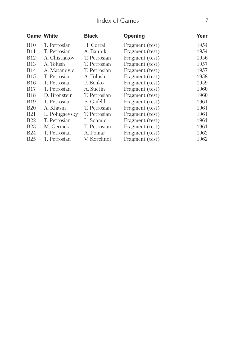# Index of Games

| <b>Game White</b> |                | <b>Black</b> | Opening         | Year |
|-------------------|----------------|--------------|-----------------|------|
| <b>B10</b>        | T. Petrosian   | H. Corral    | Fragment (test) | 1954 |
| <b>B11</b>        | T. Petrosian   | A. Bannik    | Fragment (test) | 1954 |
| <b>B12</b>        | A. Chistiakov  | T. Petrosian | Fragment (test) | 1956 |
| <b>B</b> 13       | A. Tolush      | T. Petrosian | Fragment (test) | 1957 |
| <b>B14</b>        | A. Matanovic   | T. Petrosian | Fragment (test) | 1957 |
| <b>B15</b>        | T. Petrosian   | A. Tolush    | Fragment (test) | 1958 |
| <b>B16</b>        | T. Petrosian   | P. Benko     | Fragment (test) | 1959 |
| <b>B17</b>        | T. Petrosian   | A. Suetin    | Fragment (test) | 1960 |
| <b>B</b> 18       | D. Bronstein   | T. Petrosian | Fragment (test) | 1960 |
| <b>B</b> 19       | T. Petrosian   | E. Gufeld    | Fragment (test) | 1961 |
| <b>B20</b>        | A. Khasin      | T. Petrosian | Fragment (test) | 1961 |
| <b>B21</b>        | L. Polugaevsky | T. Petrosian | Fragment (test) | 1961 |
| <b>B22</b>        | T. Petrosian   | L. Schmid    | Fragment (test) | 1961 |
| <b>B23</b>        | M. Germek      | T. Petrosian | Fragment (test) | 1961 |
| <b>B24</b>        | T. Petrosian   | A. Pomar     | Fragment (test) | 1962 |
| <b>B25</b>        | T. Petrosian   | V. Korchnoi  | Fragment (test) | 1962 |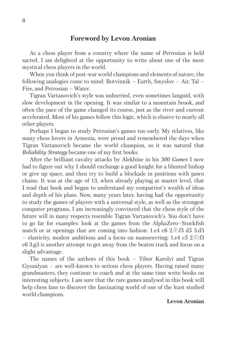### **Foreword by Levon Aronian**

As a chess player from a country where the name of Petrosian is held sacred, I am delighted at the opportunity to write about one of the most mystical chess players in the world.

When you think of post-war world champions and elements of nature, the following analogies come to mind: Botvinnik – Earth, Smyslov – Air, Tal – Fire, and Petrosian – Water.

Tigran Vartanovich's style was unhurried, even sometimes languid, with slow development in the opening. It was similar to a mountain brook, and often the pace of the game changed its course, just as the river and current accelerated. Most of his games follow this logic, which is elusive to nearly all other players.

Perhaps I began to study Petrosian's games too early. My relatives, like many chess lovers in Armenia, were proud and remembered the days when Tigran Vartanovich became the world champion, so it was natural that *Reliability Strategy* became one of my first books.

After the brilliant cavalry attacks by Alekhine in his *300 Games* I now had to figure out why I should exchange a good knight for a blunted bishop or give up space, and then try to build a blockade in positions with pawn chains. It was at the age of 13, when already playing at master level, that I read that book and began to understand my compatriot's wealth of ideas and depth of his plans. Now, many years later, having had the opportunity to study the games of players with a universal style, as well as the strongest computer programs, I am increasingly convinced that the chess style of the future will in many respects resemble Tigran Vartanovich's. You don't have to go far for examples: look at the games from the AlphaZero–Stockfish match or at openings that are coming into fashion: 1.e4 c6 2. $\circ$  13 d5 3.d3 – elasticity, modest ambitions and a focus on manoeuvring; 1.e4 c5 2. $\circ$  13 e6 3.g3 is another attempt to get away from the beaten track and focus on a slight advantage.

The names of the authors of this book – Tibor Karolyi and Tigran Gyozalyan – are well-known to serious chess players. Having raised many grandmasters, they continue to coach and at the same time write books on interesting subjects. I am sure that the rare games analysed in this book will help chess fans to discover the fascinating world of one of the least studied world champions.

#### **Levon Aronian**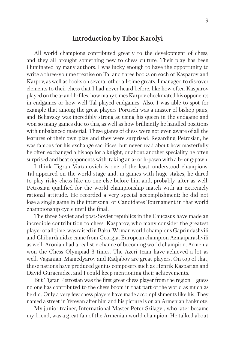## **Introduction by Tibor Karolyi**

All world champions contributed greatly to the development of chess, and they all brought something new to chess culture. Their play has been illuminated by many authors. I was lucky enough to have the opportunity to write a three-volume treatise on Tal and three books on each of Kasparov and Karpov, as well as books on several other all-time greats. I managed to discover elements to their chess that I had never heard before, like how often Kasparov played on the a- and h-files, how many times Karpov checkmated his opponents in endgames or how well Tal played endgames. Also, I was able to spot for example that among the great players Portisch was a master of bishop pairs, and Beliavsky was incredibly strong at using his queen in the endgame and won so many games due to this, as well as how brilliantly he handled positions with unbalanced material. These giants of chess were not even aware of all the features of their own play and they were surprised. Regarding Petrosian, he was famous for his exchange sacrifices, but never read about how masterfully he often exchanged a bishop for a knight, or about another speciality he often surprised and beat opponents with: taking an a- or h-pawn with a b- or g-pawn.

I think Tigran Vartanovich is one of the least understood champions. Tal appeared on the world stage and, in games with huge stakes, he dared to play risky chess like no one else before him and, probably, after as well. Petrosian qualified for the world championship match with an extremely rational attitude. He recorded a very special accomplishment: he did not lose a single game in the interzonal or Candidates Tournament in that world championship cycle until the final.

The three Soviet and post-Soviet republics in the Caucasus have made an incredible contribution to chess. Kasparov, who many consider the greatest player of all time, was raised in Baku. Woman world champions Gaprindashvili and Chiburdanidze came from Georgia, European champion Azmaiparashvili as well. Aronian had a realistic chance of becoming world champion. Armenia won the Chess Olympiad 3 times. The Azeri team have achieved a lot as well. Vaganian, Mamedyarov and Radjabov are great players. On top of that, these nations have produced genius composers such as Henrik Kasparian and David Gurgenidze, and I could keep mentioning their achievements.

But Tigran Petrosian was the first great chess player from the region. I guess no one has contributed to the chess boom in that part of the world as much as he did. Only a very few chess players have made accomplishments like his. They named a street in Yerevan after him and his picture is on an Armenian banknote.

My junior trainer, International Master Peter Szilagyi, who later became my friend, was a great fan of the Armenian world champion. He talked about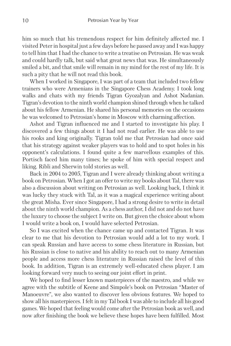him so much that his tremendous respect for him definitely affected me. I visited Peter in hospital just a few days before he passed away and I was happy to tell him that I had the chance to write a treatise on Petrosian. He was weak and could hardly talk, but said what great news that was. He simultaneously smiled a bit, and that smile will remain in my mind for the rest of my life. It is such a pity that he will not read this book.

When I worked in Singapore, I was part of a team that included two fellow trainers who were Armenians in the Singapore Chess Academy. I took long walks and chats with my friends Tigran Gyozalyan and Ashot Nadanian. Tigran's devotion to the ninth world champion shined through when he talked about his fellow Armenian. He shared his personal memories on the occasions he was welcomed to Petrosian's home in Moscow with charming affection.

Ashot and Tigran influenced me and I started to investigate his play. I discovered a few things about it I had not read earlier. He was able to use his rooks and king originally. Tigran told me that Petrosian had once said that his strategy against weaker players was to hold and to spot holes in his opponent's calculations. I found quite a few marvellous examples of this. Portisch faced him many times; he spoke of him with special respect and liking. Ribli and Sherwin told stories as well.

Back in 2004 to 2005, Tigran and I were already thinking about writing a book on Petrosian. When I got an offer to write my books about Tal, there was also a discussion about writing on Petrosian as well. Looking back, I think it was lucky they stuck with Tal, as it was a magical experience writing about the great Misha. Ever since Singapore, I had a strong desire to write in detail about the ninth world champion. As a chess author, I did not and do not have the luxury to choose the subject I write on. But given the choice about whom I would write a book on, I would have selected Petrosian.

So I was excited when the chance came up and contacted Tigran. It was clear to me that his devotion to Petrosian would add a lot to my work. I can speak Russian and have access to some chess literature in Russian, but his Russian is close to native and his ability to reach out to many Armenian people and access more chess literature in Russian raised the level of this book. In addition, Tigran is an extremely well-educated chess player. I am looking forward very much to seeing our joint effort in print.

We hoped to find lesser known masterpieces of the maestro, and while we agree with the subtitle of Keene and Simpole's book on Petrosian "Master of Manoeuvre", we also wanted to discover less obvious features. We hoped to show all his masterpieces. I felt in my Tal book I was able to include all his good games. We hoped that feeling would come after the Petrosian book as well, and now after finishing the book we believe these hopes have been fulfilled. Most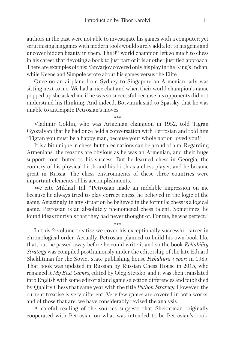authors in the past were not able to investigate his games with a computer; yet scrutinising his games with modern tools would surely add a lot to his gems and uncover hidden beauty in them. The 9<sup>th</sup> world champion left so much to chess in his career that devoting a book to just part of it is another justified approach. There are examples of this: Yanvarjov covered only his play in the King's Indian, while Keene and Simpole wrote about his games versus the Elite.

Once on an airplane from Sydney to Singapore an Armenian lady was sitting next to me. We had a nice chat and when their world champion's name popped up she asked me if he was so successful because his opponents did not understand his thinking. And indeed, Botvinnik said to Spassky that he was unable to anticipate Petrosian's moves.

Vladimir Goldin, who was Armenian champion in 1952, told Tigran Gyozalyan that he had once held a conversation with Petrosian and told him "Tigran you must be a happy man, because your whole nation loved you!"

It is a bit unique in chess, but three nations can be proud of him. Regarding Armenians, the reasons are obvious as he was an Armenian, and their huge support contributed to his success. But he learned chess in Georgia, the country of his physical birth and his birth as a chess player, and he became great in Russia. The chess environments of these three countries were important elements of his accomplishments.

We cite Mikhail Tal: "Petrosian made an indelible impression on me because he always tried to play correct chess, he believed in the logic of the game. Amazingly, in any situation he believed in the formula: chess is a logical game. Petrosian is an absolutely phenomenal chess talent. Sometimes, he found ideas for rivals that they had never thought of. For me, he was perfect."

\*\*\* In this 2-volume treatise we cover his exceptionally successful career in chronological order. Actually, Petrosian planned to build his own book like that, but he passed away before he could write it and so the book *Reliability Strategy* was compiled posthumously under the editorship of the late Eduard Shekhtman for the Soviet state publishing house *Fizkultura i sport* in 1985. That book was updated in Russian by Russian Chess House in 2015, who renamed it *My Best Games*, edited by Oleg Stetsko, and it was then translated into English with some editorial and game selection differences and published by Quality Chess that same year with the title *Python Strategy.* However, the current treatise is very different. Very few games are covered in both works, and of those that are, we have considerably revised the analysis.

A careful reading of the sources suggests that Shekhtman originally cooperated with Petrosian on what was intended to be Petrosian's book.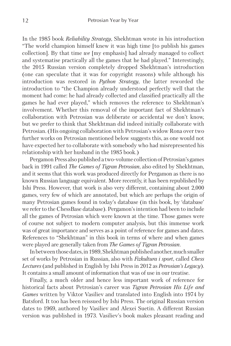In the 1985 book *Reliability Strategy*, Shekhtman wrote in his introduction "The world champion himself knew it was high time [to publish his games collection]. By that time *we* [my emphasis] had already managed to collect and systematise practically all the games that he had played." Interestingly, the 2015 Russian version completely dropped Shekhtman's introduction (one can speculate that it was for copyright reasons) while although his introduction was restored in *Python Strategy*, the latter reworded the introduction to "the Champion already understood perfectly well that the moment had come: he had already collected and classified practically all the games he had ever played," which removes the reference to Shekhtman's involvement. Whether this removal of the important fact of Shekhtman's collaboration with Petrosian was deliberate or accidental we don't know, but we prefer to think that Shekhtman did indeed initially collaborate with Petrosian. (His ongoing collaboration with Petrosian's widow Rona over two further works on Petrosian mentioned below suggests this, as one would not have expected her to collaborate with somebody who had misrepresented his relationship with her husband in the 1985 book.)

Pergamon Press also published a two-volume collection of Petrosian's games back in 1991 called *The Games of Tigran Petrosian*, also edited by Shekhtman, and it seems that this work was produced directly for Pergamon as there is no known Russian language equivalent. More recently, it has been republished by Ishi Press. However, that work is also very different, containing about 2,000 games, very few of which are annotated, but which are perhaps the origin of many Petrosian games found in today's database (in this book, by 'database' we refer to the ChessBase database). Pergamon's intention had been to include all the games of Petrosian which were known at the time. Those games were of course not subject to modern computer analysis, but this immense work was of great importance and serves as a point of reference for games and dates. References to "Shekhtman" in this book in terms of where and when games were played are generally taken from *The Games of Tigran Petrosian*.

In between those dates, in 1989, Shekhtman published another, much smaller set of works by Petrosian in Russian, also with *Fizkultura i sport*, called *Chess Lectures* (and published in English by Ishi Press in 2012 as *Petrosian's Legacy*). It contains a small amount of information that was of use in our treatise.

Finally, a much older and hence less important work of reference for historical facts about Petrosian's career was *Tigran Petrosian His Life and Games* written by Viktor Vasiliev and translated into English into 1974 by Batsford. It too has been reissued by Ishi Press. The original Russian version dates to 1969, authored by Vasiliev and Alexei Suetin. A different Russian version was published in 1973. Vasiliev's book makes pleasant reading and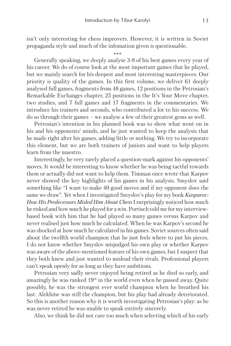isn't only interesting for chess improvers. However, it is written in Soviet propaganda style and much of the infomation given is questionable.

\*\*\*

Generally speaking, we deeply analyse 3-8 of his best games every year of his career. We do of course look at the most important games that he played, but we mainly search for his deepest and most interesting masterpieces. Our priority is quality of the games. In this first volume, we deliver 61 deeply analysed full games, fragments from 48 games, 12 positions in the Petrosian's Remarkable Exchanges chapter, 25 positions in the It's Your Move chapter, two studies, and 7 full games and 17 fragments in the commentaries. We introduce his trainers and seconds, who contributed a lot to his success. We do so through their games – we analyse a few of their greatest gems as well.

Petrosian's intention in his planned book was to show what went on in his and his opponents' minds, and he just wanted to keep the analysis that he made right after his games, adding little or nothing. We try to incorporate this element, but we are both trainers of juniors and want to help players learn from the maestro.

Interestingly, he very rarely placed a question-mark against his opponents' moves. It would be interesting to know whether he was being tactful towards them or actually did not want to help them. Timman once wrote that Karpov never showed the key highlights of his games in his analysis. Smyslov said something like "I want to make 40 good moves and if my opponent does the same we draw". Yet when I investigated Smyslov's play for my book *Kasparov: How His Predecessors Misled Him About Chess* I surprisingly noticed how much he risked and how much he played for a win. Portisch told me for my interviewbased book with him that he had played so many games versus Karpov and never realised just how much he calculated. When he was Karpov's second he was shocked at how much he calculated in his games. Soviet sources often said about the twelfth world champion that he just feels where to put his pieces. I do not know whether Smyslov misjudged his own play or whether Karpov was aware of the above-mentioned feature of his own games, but I suspect that they both knew and just wanted to mislead their rivals. Professional players can't speak openly for as long as they have ambitions.

Petrosian very sadly never enjoyed being retired as he died so early, and amazingly he was ranked 19th in the world even when he passed away. Quite possibly, he was the strongest ever world champion when he breathed his last: Alekhine was still the champion, but his play had already deteriorated. So this is another reason why it is worth investigating Petrosian's play: as he was never retired he was unable to speak entirely sincerely.

Also, we think he did not care too much when selecting which of his early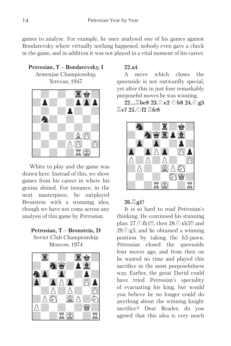games to analyse. For example, he once analysed one of his games against Bondarevsky where virtually nothing happened, nobody even gave a check in the game, and in addition it was not played in a vital moment of his career.

**Petrosian, T – Bondarevsky, I**  Armenian Championship, Yerevan, 1947



White to play and the game was drawn here. Instead of this, we show games from his career in where his genius shined. For instance, in the next masterpiece, he outplayed Bronstein with a stunning idea, though we have not come across any analysis of this game by Petrosian.



Soviet Club Championship Moscow, 1974



#### **22.a4**

A move which closes the queenside is not outwardly special, yet after this in just four remarkably purposeful moves he was winning.

**22...** $\Xi$ be8 23.①e2 ②b8 24.②g3  $\Xi$ e7 25. 介f2  $\Xi$ fe8



#### $26.\n$ **g**1!

It is so hard to read Petrosian's thinking. He continued his stunning plan: 27. ht1!!, then 28.  $\Delta xh5$ !! and 29. $\oslash$ g3, and he obtained a winning position by taking the h5-pawn. Petrosian closed the queenside four moves ago, and from then on he wasted no time and played this sacrifice in the most purposefulness way. Earlier, the great David could have tried Petrosian's speciality of evacuating his king, but would you believe he no longer could do anything about the winning knight sacrifice? Dear Reader, do you agreed that this idea is very much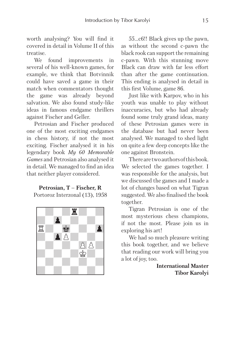worth analysing? You will find it covered in detail in Volume II of this treatise.

We found improvements in several of his well-known games, for example, we think that Botvinnik could have saved a game in their match when commentators thought the game was already beyond salvation. We also found study-like ideas in famous endgame thrillers against Fischer and Geller.

Petrosian and Fischer produced one of the most exciting endgames in chess history, if not the most exciting. Fischer analysed it in his legendary book *My 60 Memorable Games* and Petrosian also analysed it in detail. We managed to find an idea that neither player considered.

# **Petrosian, T – Fischer, R**

Portoroz Interzonal (13), 1958



55...c6!! Black gives up the pawn, as without the second c-pawn the black rook can support the remaining c-pawn. With this stunning move Black can draw with far less effort than after the game continuation. This ending is analysed in detail in this first Volume, game 86.

Just like with Karpov, who in his youth was unable to play without inaccuracies, but who had already found some truly grand ideas, many of these Petrosian games were in the database but had never been analysed. We managed to shed light on quite a few deep concepts like the one against Bronstein.

There are two authors of this book. We selected the games together. I was responsible for the analysis, but we discussed the games and I made a lot of changes based on what Tigran suggested. We also finalised the book together.

Tigran Petrosian is one of the most mysterious chess champions, if not the most. Please join us in exploring his art!

We had so much pleasure writing this book together, and we believe that reading our work will bring you a lot of joy, too.

> **International Master Tibor Karolyi**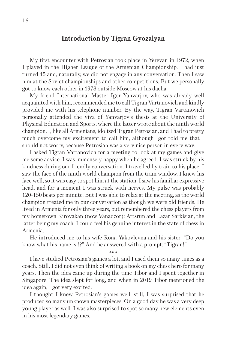# **Introduction by Tigran Gyozalyan**

My first encounter with Petrosian took place in Yerevan in 1972, when I played in the Higher League of the Armenian Championship. I had just turned 15 and, naturally, we did not engage in any conversation. Then I saw him at the Soviet championships and other competitions. But we personally got to know each other in 1978 outside Moscow at his dacha.

My friend International Master Igor Yanvarjov, who was already well acquainted with him, recommended me to call Tigran Vartanovich and kindly provided me with his telephone number. By the way, Tigran Vartanovich personally attended the viva of Yanvarjov's thesis at the University of Physical Education and Sports, where the latter wrote about the ninth world champion. I, like all Armenians, idolized Tigran Petrosian, and I had to pretty much overcome my excitement to call him, although Igor told me that I should not worry, because Petrosian was a very nice person in every way.

I asked Tigran Vartanovich for a meeting to look at my games and give me some advice. I was immensely happy when he agreed. I was struck by his kindness during our friendly conversation. I travelled by train to his place. I saw the face of the ninth world champion from the train window. I knew his face well, so it was easy to spot him at the station. I saw his familiar expressive head, and for a moment I was struck with nerves. My pulse was probably 120-150 beats per minute. But I was able to relax at the meeting, as the world champion treated me in our conversation as though we were old friends. He lived in Armenia for only three years, but remembered the chess players from my hometown Kirovakan (now Vanadzor): Artsrun and Lazar Sarkisian, the latter being my coach. I could feel his genuine interest in the state of chess in Armenia.

He introduced me to his wife Rona Yakovlevna and his sister. "Do you know what his name is !?" And he answered with a prompt: "Tigran!"

\*\*\*

I have studied Petrosian's games a lot, and I used them so many times as a coach. Still, I did not even think of writing a book on my chess hero for many years. Then the idea came up during the time Tibor and I spent together in Singapore. The idea slept for long, and when in 2019 Tibor mentioned the idea again, I got very excited.

I thought I knew Petrosian's games well; still, I was surprised that he produced so many unknown masterpieces. On a good day he was a very deep young player as well. I was also surprised to spot so many new elements even in his most legendary games.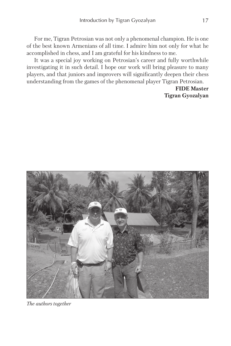For me, Tigran Petrosian was not only a phenomenal champion. He is one of the best known Armenians of all time. I admire him not only for what he accomplished in chess, and I am grateful for his kindness to me.

It was a special joy working on Petrosian's career and fully worthwhile investigating it in such detail. I hope our work will bring pleasure to many players, and that juniors and improvers will significantly deepen their chess understanding from the games of the phenomenal player Tigran Petrosian.

> **FIDE Master Tigran Gyozalyan**



*The authors together*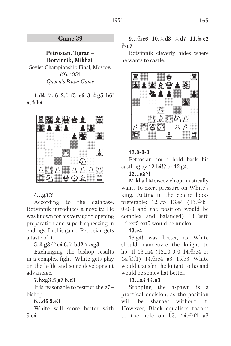# **Game 39**

**Petrosian, Tigran – Botvinnik, Mikhail** Soviet Championship Final, Moscow (9), 1951 *Queen's Pawn Game* 

# **1.d4** ①f6 2.②f3 e6 3.鱼g5 h6! **4.**E**h4**



# **4...g5!?**

According to the database, Botvinnik introduces a novelty. He was known for his very good opening preparation and superb squeezing in endings. In this game, Petrosian gets a taste of it.

**5.**E**g3** C**e4 6.**C**bd2** C**xg3** 

Exchanging the bishop results in a complex fight. White gets play on the h-file and some development advantage.

# **7.hxg3** E**g7 8.c3**

It is reasonable to restrict the g7– bishop.

# **8...d6 9.e3**

White will score better with 9.e4.

# **9.**  $\&{c}$ **10.**  $\&{d}$ **13.**  $\&{d}$ **17. 11.**  $\&{c}$ **2.** I**e7**

Botvinnik cleverly hides where he wants to castle.



# **12.0-0-0**

Petrosian could hold back his castling by 12.b4!? or 12.g4.

# **12...a5?!**

Mikhail Moiseevich optimistically wants to exert pressure on White's king. Acting in the centre looks preferable:  $12...f5$   $13.e4$   $(13.\&\text{b1})$ 0-0-0 and the position would be complex and balanced)  $13...$  if 6 14.exf5 exf5 would be unclear.

# **13.e4**

13.g4! was better, as White should manoeuvre the knight to h5. If 13...a4 (13...0-0-0 14. le4 or 14. 行) 14. *Q*e4 a3 15.b3 White would transfer the knight to h5 and would be somewhat better.

# **13...a4 14.a3**

Stopping the a-pawn is a practical decision, as the position will be sharper without it. However, Black equalises thanks to the hole on  $b3. 14\sqrt[6]{11} a3$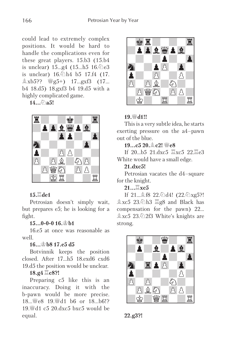could lead to extremely complex positions. It would be hard to handle the complications even for these great players. 15.b3 (15.b4 is unclear)  $15...g4$   $(15...h5 \ 16.\textcircled{2}e3)$ is unclear)  $16.\text{\textdegreeled{2}h4}$  b5 17.f4 (17.  $\&$  xb5??  $\&$  g5+) 17...gxf3 (17... b4 18.d5) 18.gxf3 b4 19.d5 with a highly complicated game.

#### $14.6$ a5!



# **15.** $\Xi$ de1

Petrosian doesn't simply wait, but prepares e5; he is looking for a fight.

#### **15...0-0-0 16.**K**b1**

16.e5 at once was reasonable as well.

#### **16...**K**b8 17.e5 d5**

Botvinnik keeps the position closed. After 17...h5 18.exd6 cxd6 19.d5 the position would be unclear.

#### $18.94 \times 8$ ?!

Preparing c5 like this is an inaccuracy. Doing it with the b-pawn would be more precise.  $18.$  Wes  $19.$  Wd1 b6 or  $18.$  b6!? 19. $\%$ d1 c5 20.dxc5 bxc5 would be equal.



# **19.**<sup>W</sup>d1!!

This is a very subtle idea, he starts exerting pressure on the a4–pawn out of the blue.

#### **19...c5 20.**E**c2!** I**e8**

If  $20...b5$   $21.\text{dxc5}$   $\Xi$ xc5  $22.\overline{\Xi}$ e3 White would have a small edge.

#### **21.dxc5!**

Petrosian vacates the d4–square for the knight.

# $21...$  $\Xi$ **xc5**

If 21... **48 22.** 2d4! (22. 红xg5?!  $\&$  xc5 23.  $\&$ h3  $\&$ g8 and Black has compensation for the pawn) 22...  $\&\,xc5$  23. $\&$  2f3 White's knights are strong.



**22.g3?!**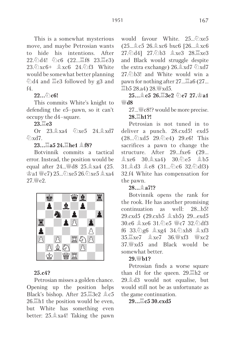This is a somewhat mysterious move, and maybe Petrosian wants to hide his intentions. After  $22.\text{\textdegreeled{2}}\text{d}4!$   $\textdegreeled{2}\text{c}6$   $(22...\text{\textdegree{2}}\text{f}8$   $23.\text{\textdegree{2}}\text{e}3)$  $23.\overline{\mathcal{O}}$  xc6+  $\&$  xc6 24. $\overline{\mathcal{O}}$  f3 White would be somewhat better planning  $\textcircled{2}d4$  and  $\textcircled{2}e3$  followed by g3 and  $f_4$ 

#### $22...$   $0$ **c6!**

This commits White's knight to defending the e5–pawn, so it can't occupy the d4–square.

 $23.\n\equiv$ e3

Or  $23 \triangleq xa4$   $\Im xe5$   $24 \triangleq xd7$  $\mathcal{L}\times d7$ 

**23...**G**a5 24.**G**he1** E**f8?** 

Botvinnik commits a tactical error. Instead, the position would be equal after  $24...\{48}$   $25.\& \text{4}$   $(25.$  $\circ$  a1  $\circ$  c7) 25... $\circ$  xe5 26. $\circ$  xe5  $\circ$  xa4  $27 \leq P$ 



#### **25.c4?**

Petrosian misses a golden chance. Opening up the position helps Black's bishop. After  $25.\overline{4}\cdot 3e^2 \approx c5$  $26.$  $\Xi$ h1 the position would be even. but White has something even better: 25.Exa4! Taking the pawn

would favour White. 25.  $\hat{\mathbb{Q}}$ xe5.  $(25...\AA{c}5 \t26.\AA{x}c6 \t bxc6 \t[26...\AA{x}c6$ 27. d4] 27. b3 **exe3** 28. xe3 and Black would struggle despite the extra exchange)  $26.\&\text{xd7}$   $\&$ xd7  $27\%$  b3! and White would win a pawn for nothing after  $27 \dots \overline{2}$  a6 (27...  $\Xi$ b5 28.a4) 28. $\frac{10}{2}$ xd5.

**25...** $\&$  **c5 26.** $\&$  **3e2**  $\&$  **e7 27.** $\&$  **a1** *Bh* 

## 27... We c8!? would be more precise. **28.**G**h1?!**

Petrosian is not tuned in to deliver a punch. 28.cxd5! exd5  $(28...\text{\textdegree$\triangle$}xd5 \ 29.\text{\textdegree$\triangle$}e4) \ 29.e6! \text{ This}$ sacrifices a pawn to change the structure. After 29...fxe6 (29...  $\&$  xe6 30. $\&$  xa4) 30. $\&$ e5  $\&$  b5 31. d3 e8 (31...  $c6$  32. df3) 32.f4 White has compensation for the pawn.

#### **28...**E**a7!?**

Botvinnik opens the rank for the rook. He has another promising continuation as well: 28...b5! 29.cxd5 (29.cxb5  $\&$ xb5) 29...exd5  $30.66$   $\&$  xe6 31. he5  $\&$  c7 32. hdf3 f6 33. 2g6  $\angle xg4$  34. 2xh8  $\angle xf3$  $35.\Xi$ xe7  $\&8$ xe7  $36.\Xi$ xf3  $\&8$ xc2 37. xd5 and Black would be somewhat better.

#### 29. *W* b1?

Petrosian finds a worse square than d1 for the queen.  $29.\overline{\Xi}$ h2 or  $29.$  $\&$  d3 would not equalise, but would still not be as unfortunate as the game continuation.

**29...**G**c5 30.cxd5**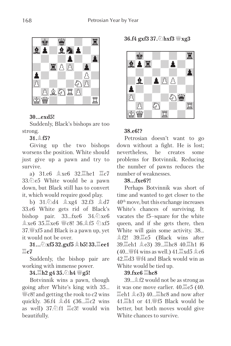

# **30...exd5!**

Suddenly, Black's bishops are too strong.

# **31.**E**f5?**

Giving up the two bishops worsens the position. White should just give up a pawn and try to survive.

a)  $31.66 \triangle$  xe6  $32.$  The 1  $\Xi$  c7  $33.$  $\Diamond$ )e5 White would be a pawn down, but Black still has to convert it, which would require good play.

b) 31.2d4  $\angle$ xg4 32.f3  $\angle$ d7 33.e6 White gets rid of Black's bishop pair.  $33...$ fxe6  $34.\&\text{xe6}$  $\&$  xe6 35. xe6  $\&$  c8! 36.  $\&$  f5  $\&$  xf5  $37.$ <sup>W</sup> xf5 and Black is a pawn up, yet it would not be over.

 $31...\text{\textdegreeled{2}}$ xf5 32.gxf5  $\text{\textdegreeled{1}}$  b5! 33. $\text{\textdegreeled{2}}$ ee1  $\Xi$ c7

Suddenly, the bishop pair are working with immense power.

# **34.**G**h2 g4 35.**C**h4** I**g5!**

Botvinnik wins a pawn, though going after White's king with 35...  $\mathcal{W}$ c8! and getting the rook to c2 wins quickly.  $36.14 \text{ d}4 (36.12 \text{ c})$  wins as well)  $37.\text{\textdegreeled{2}}\text{f}1 \cong c3!$  would win beautifully.

**36.f4 gxf3 37.**C**hxf3** I**xg3** 



# **38.e6!?**

Petrosian doesn't want to go down without a fight. He is lost; nevertheless, he creates some problems for Botvinnik. Reducing the number of pawns reduces the number of weaknesses.

# **38...fxe6?!**

Perhaps Botvinnik was short of time and wanted to get closer to the 40th move, but this exchange increases White's chances of surviving. It vacates the f5–square for the white queen, and if she gets there, then White will gain some activity. 38... **食f2!** 39. e5 (Black wins after 39. eh1 全e3) 39. Ehc8 40. Eh1 f6  $(40\ldots$  We f4 wins as well.)  $41\ddot{\Xi} \mathrm{xd5}$   $\&$  c6  $42.\overline{2}$ d3  $\mathscr{L}$ f4 and Black would win as White would be tied up.

# **39.fxe6**  $\Xi$ **hc8**

39...Ef2 would not be as strong as it was one move earlier.  $40.\overline{\Xi}e5$  (40.  $\mathbb{Z}$ eh1  $\&$ **e3**) 40... $\mathbb{Z}$ hc8 and now after 41. h1 or 41. \$f5 Black would be better, but both moves would give White chances to survive.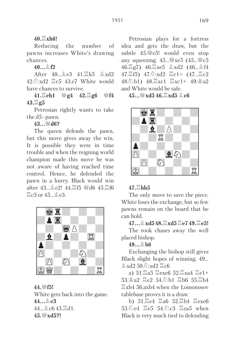# **40.**G**xh6!**

Reducing the number of pawns increases White's drawing chances.

**40...**E**f2** 

After  $40 \n\oplus e3$   $41 \n\boxtimes h5$   $\oplus xd2$  $42\%$ xd2  $\Xi$ c5 43.e7 White would have chances to survive.

**41.**G**eh1** I**g4 42.**G**g6** I**f4 43.**G**g5** 

Petrosian rightly wants to take the d5–pawn.

**43...**I**d6?** 

The queen defends the pawn, but this move gives away the win. It is possible they were in time trouble and when the reigning world champion made this move he was not aware of having reached time control. Hence, he defended the pawn in a hurry. Black would win after  $43...$   $2e2!$   $44.$   $\Xi$  f5  $\Xi$  d6  $45.$   $\Xi$  f6  $\mathbb{Z}$ c3 or 45.  $\oplus$  e3.



**44.**I**f5!** 

White gets back into the game. **44...**E**e3**  44... **Le** c6 45. Ad1. **45.**I**xd5?!** 

Petrosian plays for a fortress idea and gets the draw, but the subtle  $45.\n\text{\textdegree}5!$  would even stop any squeezing.  $45 \text{...}$   $\frac{100}{100}$  xe5 (45...  $\frac{100}{100}$  c5 46. g7) 46. kg & xd2 (46... 44 47. f5) 47. Axd2  $\Xi$ c1+ (47... $\Xi$ c2  $48.\ddot{\odot}$ b1)  $48.\ddot{\Xi}$ xc1  $\dddot{\Xi}$ xc1+  $49.\dot{\Xi}$ a2 and White would be safe.

**45...**I**xd5 46.**G**xd5** E**c6** 



# **47.**G**hh5**

The only move to save the piece. White loses the exchange, but so few pawns remain on the board that he can hold.

**47...**E**xd5 48.**G**xd5** G**e7 49.**G**e5!** 

The rook chases away the well placed bishop.

# **49...**E**h6**

Exchanging the bishop still gives Black slight hopes of winning. 49...  $\&$  xd2 50.  $\&$  xd2  $\&$  c6

a)  $51.\overline{2}a5 \stackrel{\text{me}}{=} cxe6 \stackrel{\text{me}}{0}52.\overline{2}xa4 \stackrel{\text{me}}{=} c1+$ 53. a2 国e2 54. h1 国b6 55. 国b4  $\mathbb{Z}$ xb4 56.axb4 when the Lomonosov tablebase proves it is a draw.

b)  $51.\overline{2}$ e4  $\overline{2}$ a6  $52.\overline{2}$ b4  $\overline{2}$ exe6 53.②e4 罩e5 54.②c3 罩ea5 when Black is very much tied to defending